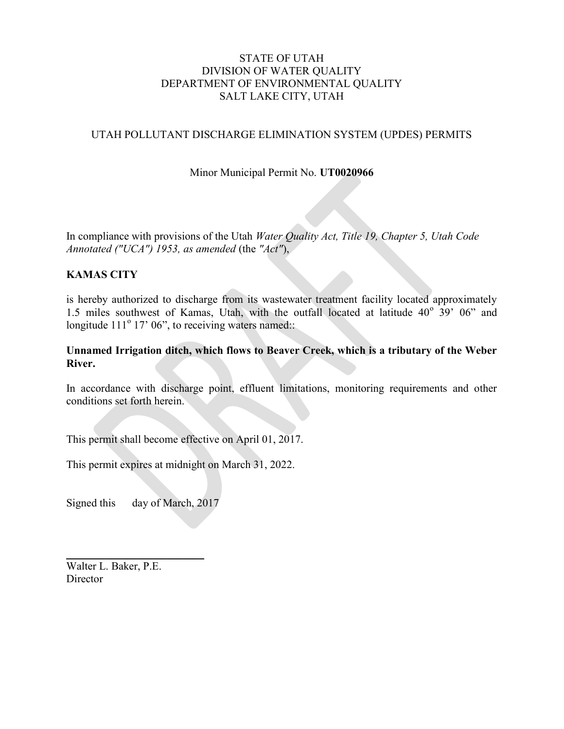#### STATE OF UTAH DIVISION OF WATER QUALITY DEPARTMENT OF ENVIRONMENTAL QUALITY SALT LAKE CITY, UTAH

## UTAH POLLUTANT DISCHARGE ELIMINATION SYSTEM (UPDES) PERMITS

### Minor Municipal Permit No. UT0020966

In compliance with provisions of the Utah Water Quality Act, Title 19, Chapter 5, Utah Code Annotated ("UCA") 1953, as amended (the "Act"),

#### KAMAS CITY

is hereby authorized to discharge from its wastewater treatment facility located approximately 1.5 miles southwest of Kamas, Utah, with the outfall located at latitude  $40^{\circ}$  39' 06" and longitude  $111^{\circ}$  17' 06", to receiving waters named::

#### Unnamed Irrigation ditch, which flows to Beaver Creek, which is a tributary of the Weber River.

In accordance with discharge point, effluent limitations, monitoring requirements and other conditions set forth herein.

This permit shall become effective on April 01, 2017.

This permit expires at midnight on March 31, 2022.

Signed this day of March, 2017

 $\mathcal{L}=\mathcal{L}^{\mathcal{L}}$  , where  $\mathcal{L}^{\mathcal{L}}$ 

Walter L. Baker, P.E. **Director**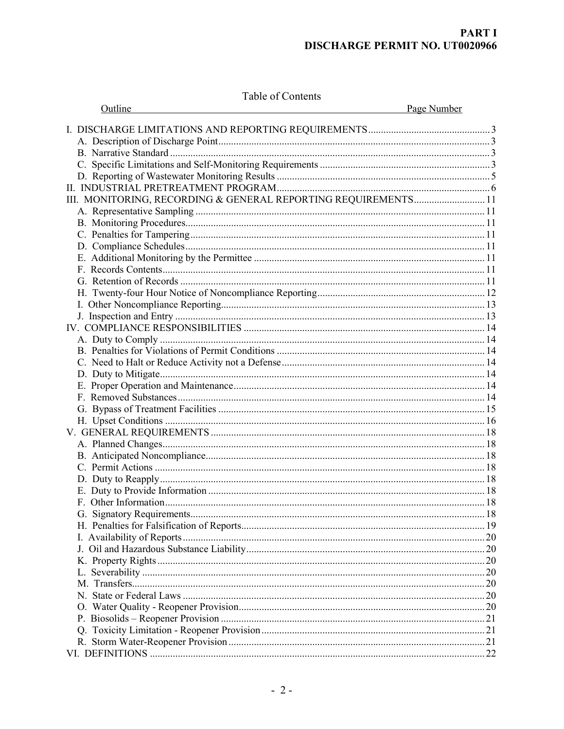## **PART I DISCHARGE PERMIT NO. UT0020966**

Table of Contents

| Outline |                                                                |             |
|---------|----------------------------------------------------------------|-------------|
|         |                                                                | Page Number |
|         |                                                                |             |
|         |                                                                |             |
|         |                                                                |             |
|         |                                                                |             |
|         |                                                                |             |
|         |                                                                |             |
|         | III. MONITORING, RECORDING & GENERAL REPORTING REQUIREMENTS 11 |             |
|         |                                                                |             |
|         |                                                                |             |
|         |                                                                |             |
|         |                                                                |             |
|         |                                                                |             |
|         |                                                                |             |
|         |                                                                |             |
|         |                                                                |             |
|         |                                                                |             |
|         |                                                                |             |
|         |                                                                |             |
|         |                                                                |             |
|         |                                                                |             |
|         |                                                                |             |
|         |                                                                |             |
|         |                                                                |             |
|         |                                                                |             |
|         |                                                                |             |
|         |                                                                |             |
|         |                                                                |             |
|         |                                                                |             |
|         |                                                                |             |
|         |                                                                |             |
|         |                                                                |             |
|         |                                                                |             |
|         |                                                                |             |
|         |                                                                |             |
|         |                                                                |             |
|         |                                                                |             |
|         |                                                                |             |
|         |                                                                |             |
|         |                                                                |             |
|         |                                                                |             |
|         |                                                                |             |
|         |                                                                |             |
|         |                                                                |             |
|         |                                                                |             |
|         |                                                                |             |
|         |                                                                |             |
|         |                                                                |             |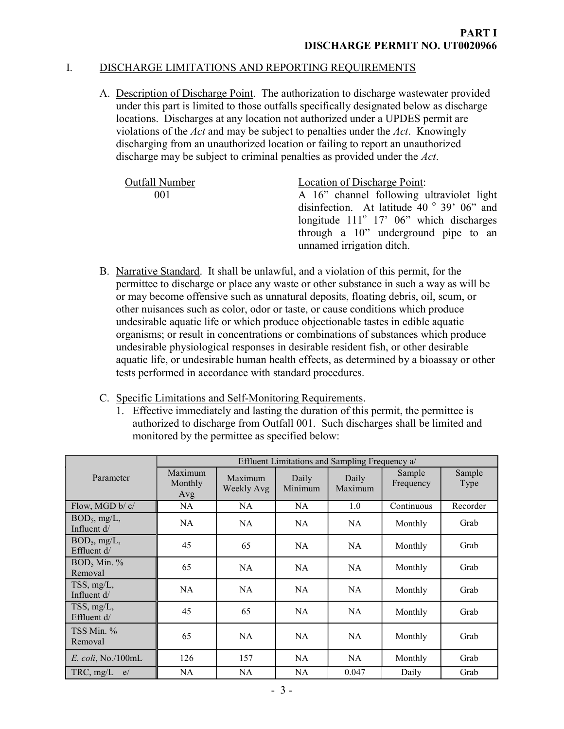# I. DISCHARGE LIMITATIONS AND REPORTING REQUIREMENTS

A. Description of Discharge Point. The authorization to discharge wastewater provided under this part is limited to those outfalls specifically designated below as discharge locations. Discharges at any location not authorized under a UPDES permit are violations of the Act and may be subject to penalties under the Act. Knowingly discharging from an unauthorized location or failing to report an unauthorized discharge may be subject to criminal penalties as provided under the Act.

| <b>Outfall Number</b> | Location of Discharge Point:                        |  |  |  |
|-----------------------|-----------------------------------------------------|--|--|--|
| 001                   | A 16" channel following ultraviolet light           |  |  |  |
|                       | disinfection. At latitude 40 $^{\circ}$ 39' 06" and |  |  |  |
|                       | longitude $111^{\circ}$ 17' 06" which discharges    |  |  |  |
|                       | through a 10" underground pipe to an                |  |  |  |
|                       | unnamed irrigation ditch.                           |  |  |  |

- B. Narrative Standard. It shall be unlawful, and a violation of this permit, for the permittee to discharge or place any waste or other substance in such a way as will be or may become offensive such as unnatural deposits, floating debris, oil, scum, or other nuisances such as color, odor or taste, or cause conditions which produce undesirable aquatic life or which produce objectionable tastes in edible aquatic organisms; or result in concentrations or combinations of substances which produce undesirable physiological responses in desirable resident fish, or other desirable aquatic life, or undesirable human health effects, as determined by a bioassay or other tests performed in accordance with standard procedures.
- C. Specific Limitations and Self-Monitoring Requirements.
	- 1. Effective immediately and lasting the duration of this permit, the permittee is authorized to discharge from Outfall 001. Such discharges shall be limited and monitored by the permittee as specified below:

|                                  | Effluent Limitations and Sampling Frequency a/ |                       |                  |                  |                     |                |
|----------------------------------|------------------------------------------------|-----------------------|------------------|------------------|---------------------|----------------|
| Parameter                        | Maximum<br>Monthly<br>Avg                      | Maximum<br>Weekly Avg | Daily<br>Minimum | Daily<br>Maximum | Sample<br>Frequency | Sample<br>Type |
| Flow, MGD b/ c/                  | NA.                                            | NA                    | NA.              | 1.0              | Continuous          | Recorder       |
| $BOD_5$ , mg/L,<br>Influent $d/$ | <b>NA</b>                                      | NA                    | <b>NA</b>        | <b>NA</b>        | Monthly             | Grab           |
| $BOD_5$ , mg/L,<br>Effluent d/   | 45                                             | 65                    | <b>NA</b>        | NA               | Monthly             | Grab           |
| $BOD_5$ Min. %<br>Removal        | 65                                             | NA                    | NA               | NA               | Monthly             | Grab           |
| TSS, mg/L,<br>Influent d/        | <b>NA</b>                                      | NA                    | NA               | <b>NA</b>        | Monthly             | Grab           |
| TSS, mg/L,<br>Effluent d/        | 45                                             | 65                    | <b>NA</b>        | <b>NA</b>        | Monthly             | Grab           |
| TSS Min. %<br>Removal            | 65                                             | NA                    | <b>NA</b>        | <b>NA</b>        | Monthly             | Grab           |
| $E.$ coli, No./100mL             | 126                                            | 157                   | NA.              | <b>NA</b>        | Monthly             | Grab           |
| $TRC$ , $mg/L$<br>e/             | NA                                             | NA                    | NA               | 0.047            | Daily               | Grab           |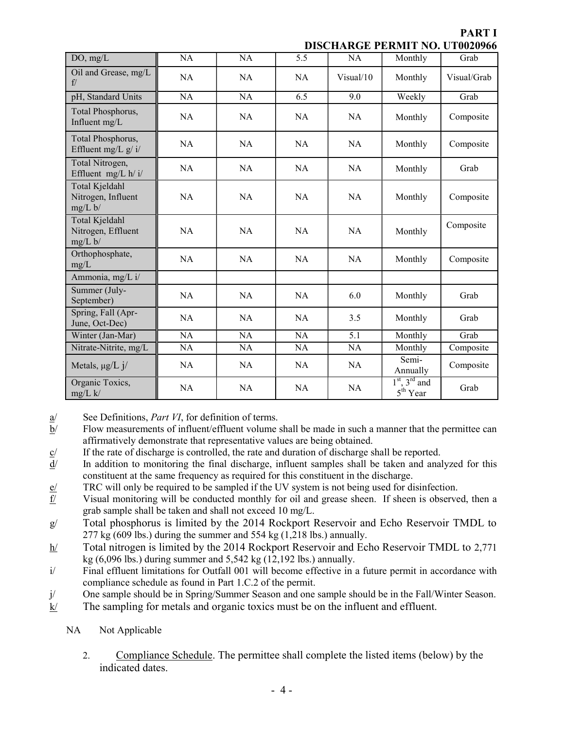PART I

DISCHARGE PERMIT NO. UT0020066

| DISCHARGE I ERNIH 190. U 19929799               |           |           |           |           |                                                     |             |
|-------------------------------------------------|-----------|-----------|-----------|-----------|-----------------------------------------------------|-------------|
| DO, mg/L                                        | NA        | <b>NA</b> | 5.5       | NA        | Monthly                                             | Grab        |
| Oil and Grease, mg/L<br>f/                      | <b>NA</b> | <b>NA</b> | <b>NA</b> | Visual/10 | Monthly                                             | Visual/Grab |
| pH, Standard Units                              | NA        | NA        | 6.5       | 9.0       | Weekly                                              | Grab        |
| Total Phosphorus,<br>Influent mg/L              | <b>NA</b> | NA        | <b>NA</b> | <b>NA</b> | Monthly                                             | Composite   |
| Total Phosphorus,<br>Effluent mg/L $g/\dot{v}$  | <b>NA</b> | <b>NA</b> | <b>NA</b> | <b>NA</b> | Monthly                                             | Composite   |
| Total Nitrogen,<br>Effluent mg/L h/ i/          | <b>NA</b> | <b>NA</b> | <b>NA</b> | <b>NA</b> | Monthly                                             | Grab        |
| Total Kjeldahl<br>Nitrogen, Influent<br>mg/L b/ | <b>NA</b> | NA        | NA        | NA        | Monthly                                             | Composite   |
| Total Kjeldahl<br>Nitrogen, Effluent<br>mg/L b/ | NA        | <b>NA</b> | NA        | <b>NA</b> | Monthly                                             | Composite   |
| Orthophosphate,<br>mg/L                         | <b>NA</b> | <b>NA</b> | <b>NA</b> | <b>NA</b> | Monthly                                             | Composite   |
| Ammonia, mg/L i/                                |           |           |           |           |                                                     |             |
| Summer (July-<br>September)                     | <b>NA</b> | <b>NA</b> | <b>NA</b> | 6.0       | Monthly                                             | Grab        |
| Spring, Fall (Apr-<br>June, Oct-Dec)            | <b>NA</b> | <b>NA</b> | <b>NA</b> | 3.5       | Monthly                                             | Grab        |
| Winter (Jan-Mar)                                | NA        | NA        | NA        | 5.1       | Monthly                                             | Grab        |
| Nitrate-Nitrite, mg/L                           | NA        | NA        | NA        | NA        | Monthly                                             | Composite   |
| Metals, $\mu g/L j/$                            | NA        | NA.       | NA        | NA        | Semi-<br>Annually                                   | Composite   |
| Organic Toxics,<br>$mg/L$ k/                    | <b>NA</b> | <b>NA</b> | <b>NA</b> | <b>NA</b> | $1st$ , 3 <sup>rd</sup> and<br>5 <sup>th</sup> Year | Grab        |

a/ See Definitions, Part VI, for definition of terms.

- $b$  Flow measurements of influent/effluent volume shall be made in such a manner that the permittee can affirmatively demonstrate that representative values are being obtained.
- $\frac{c}{d}$  If the rate of discharge is controlled, the rate and duration of discharge shall be reported.<br>d/ In addition to monitoring the final discharge, influent samples shall be taken and anal
- In addition to monitoring the final discharge, influent samples shall be taken and analyzed for this constituent at the same frequency as required for this constituent in the discharge.
- e/ TRC will only be required to be sampled if the UV system is not being used for disinfection.
- $f$  Visual monitoring will be conducted monthly for oil and grease sheen. If sheen is observed, then a grab sample shall be taken and shall not exceed 10 mg/L.
- g/ Total phosphorus is limited by the 2014 Rockport Reservoir and Echo Reservoir TMDL to 277 kg (609 lbs.) during the summer and 554 kg (1,218 lbs.) annually.
- h/ Total nitrogen is limited by the 2014 Rockport Reservoir and Echo Reservoir TMDL to 2,771 kg (6,096 lbs.) during summer and 5,542 kg (12,192 lbs.) annually.
- i/ Final effluent limitations for Outfall 001 will become effective in a future permit in accordance with compliance schedule as found in Part 1.C.2 of the permit.
- j/ One sample should be in Spring/Summer Season and one sample should be in the Fall/Winter Season.
- $k$  The sampling for metals and organic toxics must be on the influent and effluent.
	- NA Not Applicable
		- 2. Compliance Schedule. The permittee shall complete the listed items (below) by the indicated dates.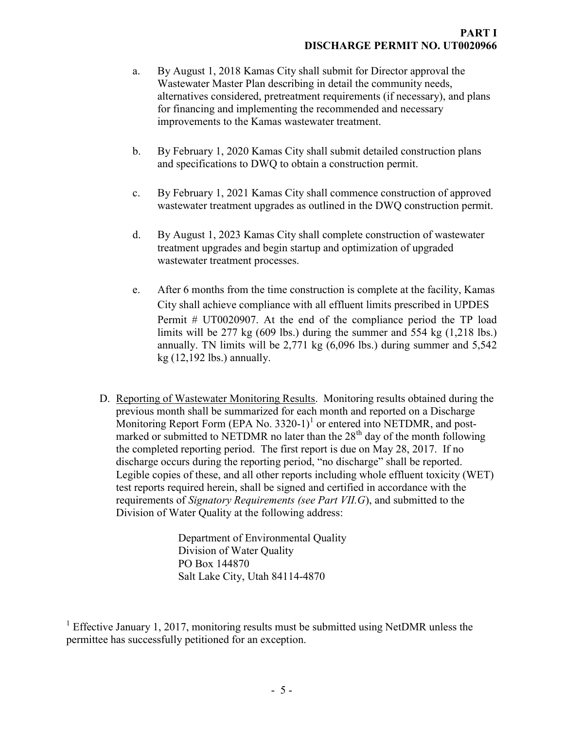- a. By August 1, 2018 Kamas City shall submit for Director approval the Wastewater Master Plan describing in detail the community needs, alternatives considered, pretreatment requirements (if necessary), and plans for financing and implementing the recommended and necessary improvements to the Kamas wastewater treatment.
- b. By February 1, 2020 Kamas City shall submit detailed construction plans and specifications to DWQ to obtain a construction permit.
- c. By February 1, 2021 Kamas City shall commence construction of approved wastewater treatment upgrades as outlined in the DWQ construction permit.
- d. By August 1, 2023 Kamas City shall complete construction of wastewater treatment upgrades and begin startup and optimization of upgraded wastewater treatment processes.
- e. After 6 months from the time construction is complete at the facility, Kamas City shall achieve compliance with all effluent limits prescribed in UPDES Permit # UT0020907. At the end of the compliance period the TP load limits will be  $277 \text{ kg}$  (609 lbs.) during the summer and 554 kg  $(1,218 \text{ lbs.})$ annually. TN limits will be 2,771 kg (6,096 lbs.) during summer and 5,542 kg (12,192 lbs.) annually.
- D. Reporting of Wastewater Monitoring Results. Monitoring results obtained during the previous month shall be summarized for each month and reported on a Discharge Monitoring Report Form (EPA No. 3320-1)<sup>1</sup> or entered into NETDMR, and postmarked or submitted to NETDMR no later than the  $28<sup>th</sup>$  day of the month following the completed reporting period. The first report is due on May 28, 2017. If no discharge occurs during the reporting period, "no discharge" shall be reported. Legible copies of these, and all other reports including whole effluent toxicity (WET) test reports required herein, shall be signed and certified in accordance with the requirements of *Signatory Requirements (see Part VII.G*), and submitted to the Division of Water Quality at the following address:

Department of Environmental Quality Division of Water Quality PO Box 144870 Salt Lake City, Utah 84114-4870

<sup>&</sup>lt;sup>1</sup> Effective January 1, 2017, monitoring results must be submitted using NetDMR unless the permittee has successfully petitioned for an exception.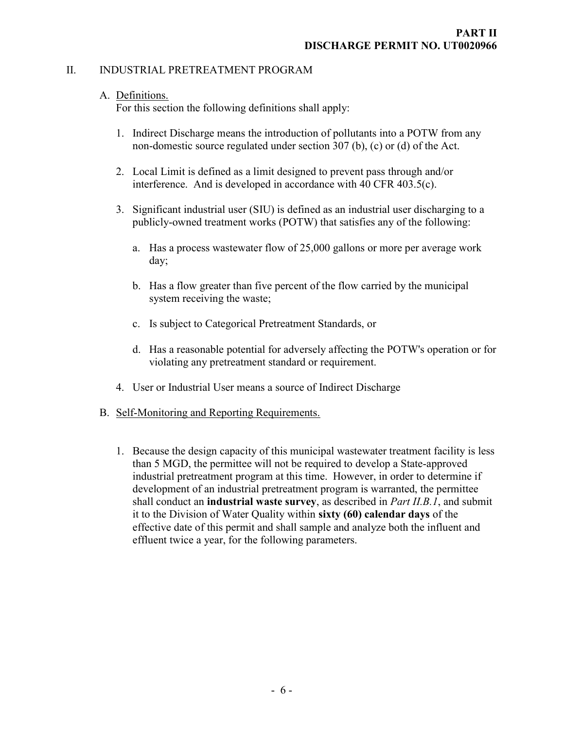#### II. INDUSTRIAL PRETREATMENT PROGRAM

### A. Definitions.

For this section the following definitions shall apply:

- 1. Indirect Discharge means the introduction of pollutants into a POTW from any non-domestic source regulated under section 307 (b), (c) or (d) of the Act.
- 2. Local Limit is defined as a limit designed to prevent pass through and/or interference. And is developed in accordance with 40 CFR 403.5(c).
- 3. Significant industrial user (SIU) is defined as an industrial user discharging to a publicly-owned treatment works (POTW) that satisfies any of the following:
	- a. Has a process wastewater flow of 25,000 gallons or more per average work day;
	- b. Has a flow greater than five percent of the flow carried by the municipal system receiving the waste;
	- c. Is subject to Categorical Pretreatment Standards, or
	- d. Has a reasonable potential for adversely affecting the POTW's operation or for violating any pretreatment standard or requirement.
- 4. User or Industrial User means a source of Indirect Discharge
- B. Self-Monitoring and Reporting Requirements.
	- 1. Because the design capacity of this municipal wastewater treatment facility is less than 5 MGD, the permittee will not be required to develop a State-approved industrial pretreatment program at this time. However, in order to determine if development of an industrial pretreatment program is warranted, the permittee shall conduct an **industrial waste survey**, as described in *Part II.B.1*, and submit it to the Division of Water Quality within sixty (60) calendar days of the effective date of this permit and shall sample and analyze both the influent and effluent twice a year, for the following parameters.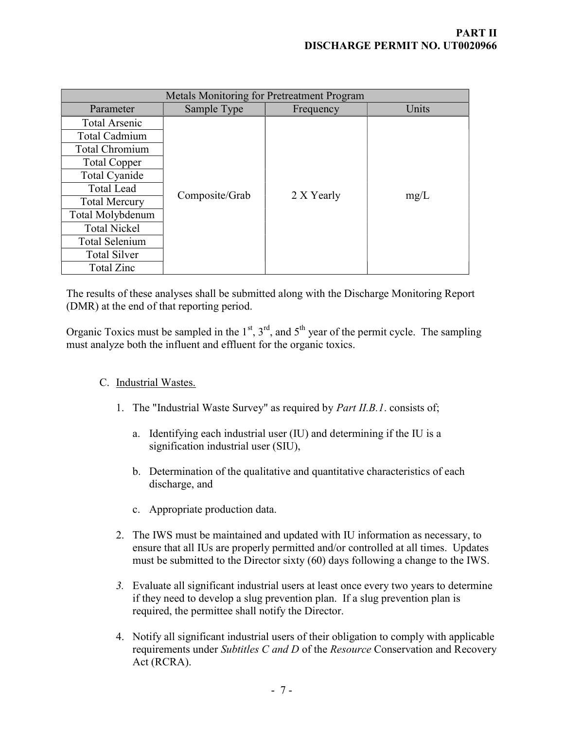| Metals Monitoring for Pretreatment Program |                |            |       |  |  |
|--------------------------------------------|----------------|------------|-------|--|--|
| Parameter                                  | Sample Type    | Frequency  | Units |  |  |
| <b>Total Arsenic</b>                       |                |            |       |  |  |
| <b>Total Cadmium</b>                       |                |            | mg/L  |  |  |
| Total Chromium                             |                |            |       |  |  |
| <b>Total Copper</b>                        |                |            |       |  |  |
| Total Cyanide                              |                |            |       |  |  |
| <b>Total Lead</b>                          |                |            |       |  |  |
| <b>Total Mercury</b>                       | Composite/Grab | 2 X Yearly |       |  |  |
| Total Molybdenum                           |                |            |       |  |  |
| <b>Total Nickel</b>                        |                |            |       |  |  |
| <b>Total Selenium</b>                      |                |            |       |  |  |
| <b>Total Silver</b>                        |                |            |       |  |  |
| Total Zinc                                 |                |            |       |  |  |

The results of these analyses shall be submitted along with the Discharge Monitoring Report (DMR) at the end of that reporting period.

Organic Toxics must be sampled in the  $1<sup>st</sup>$ ,  $3<sup>rd</sup>$ , and  $5<sup>th</sup>$  year of the permit cycle. The sampling must analyze both the influent and effluent for the organic toxics.

## C. Industrial Wastes.

- 1. The "Industrial Waste Survey" as required by Part II.B.1. consists of;
	- a. Identifying each industrial user (IU) and determining if the IU is a signification industrial user (SIU),
	- b. Determination of the qualitative and quantitative characteristics of each discharge, and
	- c. Appropriate production data.
- 2. The IWS must be maintained and updated with IU information as necessary, to ensure that all IUs are properly permitted and/or controlled at all times. Updates must be submitted to the Director sixty (60) days following a change to the IWS.
- 3. Evaluate all significant industrial users at least once every two years to determine if they need to develop a slug prevention plan. If a slug prevention plan is required, the permittee shall notify the Director.
- 4. Notify all significant industrial users of their obligation to comply with applicable requirements under Subtitles C and D of the Resource Conservation and Recovery Act (RCRA).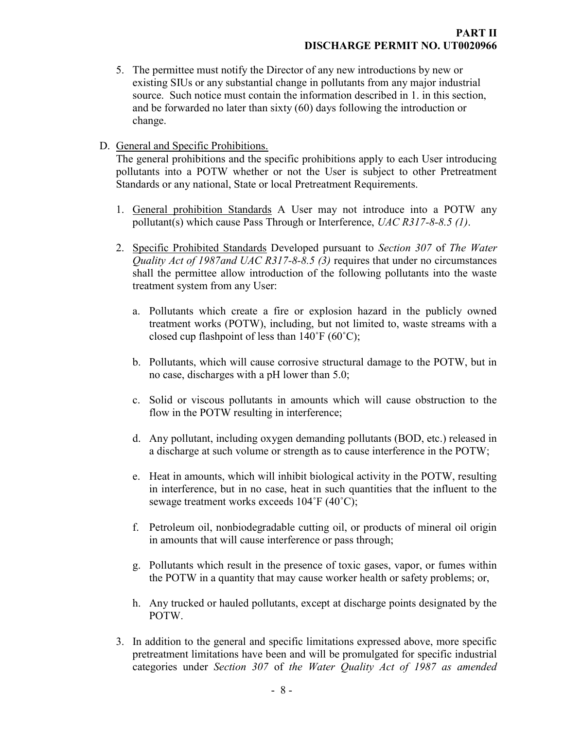- 5. The permittee must notify the Director of any new introductions by new or existing SIUs or any substantial change in pollutants from any major industrial source. Such notice must contain the information described in 1. in this section, and be forwarded no later than sixty (60) days following the introduction or change.
- D. General and Specific Prohibitions.

The general prohibitions and the specific prohibitions apply to each User introducing pollutants into a POTW whether or not the User is subject to other Pretreatment Standards or any national, State or local Pretreatment Requirements.

- 1. General prohibition Standards A User may not introduce into a POTW any pollutant(s) which cause Pass Through or Interference, UAC R317-8-8.5 (1).
- 2. Specific Prohibited Standards Developed pursuant to Section 307 of The Water *Quality Act of 1987and UAC R317-8-8.5 (3)* requires that under no circumstances shall the permittee allow introduction of the following pollutants into the waste treatment system from any User:
	- a. Pollutants which create a fire or explosion hazard in the publicly owned treatment works (POTW), including, but not limited to, waste streams with a closed cup flashpoint of less than  $140^{\circ}$ F (60 $^{\circ}$ C);
	- b. Pollutants, which will cause corrosive structural damage to the POTW, but in no case, discharges with a pH lower than 5.0;
	- c. Solid or viscous pollutants in amounts which will cause obstruction to the flow in the POTW resulting in interference;
	- d. Any pollutant, including oxygen demanding pollutants (BOD, etc.) released in a discharge at such volume or strength as to cause interference in the POTW;
	- e. Heat in amounts, which will inhibit biological activity in the POTW, resulting in interference, but in no case, heat in such quantities that the influent to the sewage treatment works exceeds 104˚F (40˚C);
	- f. Petroleum oil, nonbiodegradable cutting oil, or products of mineral oil origin in amounts that will cause interference or pass through;
	- g. Pollutants which result in the presence of toxic gases, vapor, or fumes within the POTW in a quantity that may cause worker health or safety problems; or,
	- h. Any trucked or hauled pollutants, except at discharge points designated by the POTW.
- 3. In addition to the general and specific limitations expressed above, more specific pretreatment limitations have been and will be promulgated for specific industrial categories under Section 307 of the Water Quality Act of 1987 as amended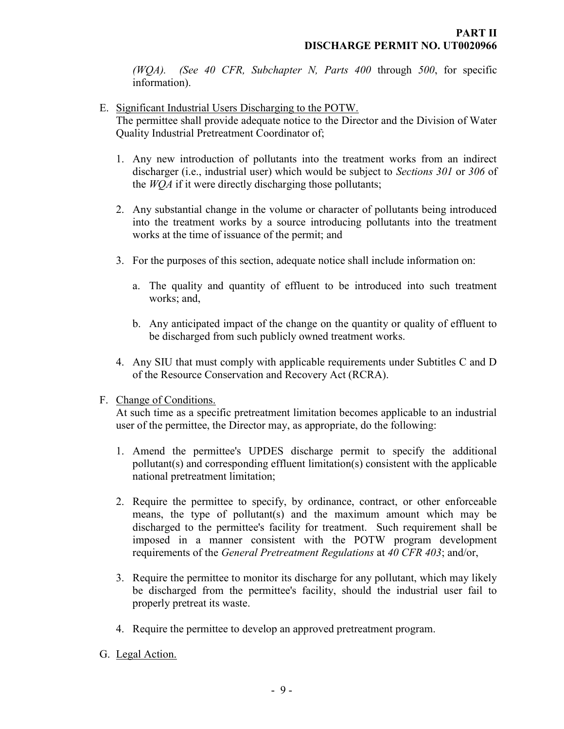(WQA). (See 40 CFR, Subchapter N, Parts  $400$  through  $500$ , for specific information).

- E. Significant Industrial Users Discharging to the POTW. The permittee shall provide adequate notice to the Director and the Division of Water Quality Industrial Pretreatment Coordinator of;
	- 1. Any new introduction of pollutants into the treatment works from an indirect discharger (i.e., industrial user) which would be subject to Sections 301 or 306 of the *WOA* if it were directly discharging those pollutants;
	- 2. Any substantial change in the volume or character of pollutants being introduced into the treatment works by a source introducing pollutants into the treatment works at the time of issuance of the permit; and
	- 3. For the purposes of this section, adequate notice shall include information on:
		- a. The quality and quantity of effluent to be introduced into such treatment works; and,
		- b. Any anticipated impact of the change on the quantity or quality of effluent to be discharged from such publicly owned treatment works.
	- 4. Any SIU that must comply with applicable requirements under Subtitles C and D of the Resource Conservation and Recovery Act (RCRA).
- F. Change of Conditions.

At such time as a specific pretreatment limitation becomes applicable to an industrial user of the permittee, the Director may, as appropriate, do the following:

- 1. Amend the permittee's UPDES discharge permit to specify the additional pollutant(s) and corresponding effluent limitation(s) consistent with the applicable national pretreatment limitation;
- 2. Require the permittee to specify, by ordinance, contract, or other enforceable means, the type of pollutant(s) and the maximum amount which may be discharged to the permittee's facility for treatment. Such requirement shall be imposed in a manner consistent with the POTW program development requirements of the General Pretreatment Regulations at 40 CFR 403; and/or,
- 3. Require the permittee to monitor its discharge for any pollutant, which may likely be discharged from the permittee's facility, should the industrial user fail to properly pretreat its waste.
- 4. Require the permittee to develop an approved pretreatment program.
- G. Legal Action.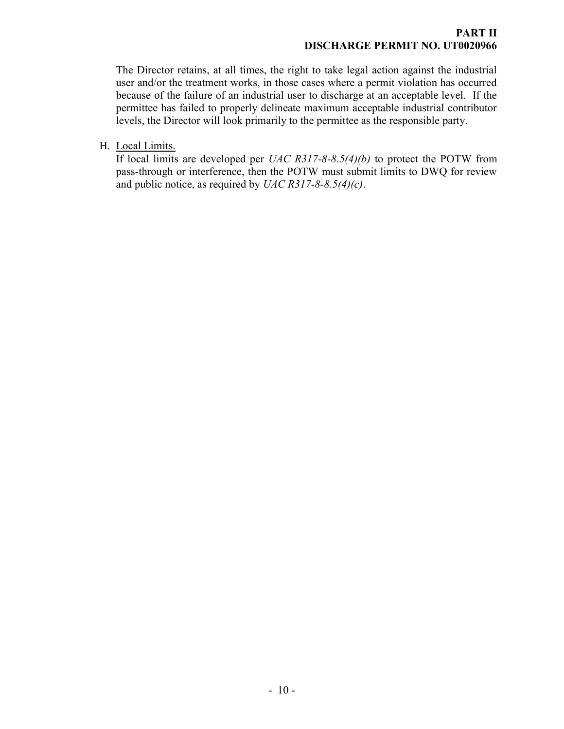The Director retains, at all times, the right to take legal action against the industrial user and/or the treatment works, in those cases where a permit violation has occurred because of the failure of an industrial user to discharge at an acceptable level. If the permittee has failed to properly delineate maximum acceptable industrial contributor levels, the Director will look primarily to the permittee as the responsible party.

H. Local Limits.

If local limits are developed per  $UAC$  R317-8-8.5(4)(b) to protect the POTW from pass-through or interference, then the POTW must submit limits to DWQ for review and public notice, as required by  $UAC$  R317-8-8.5(4)(c).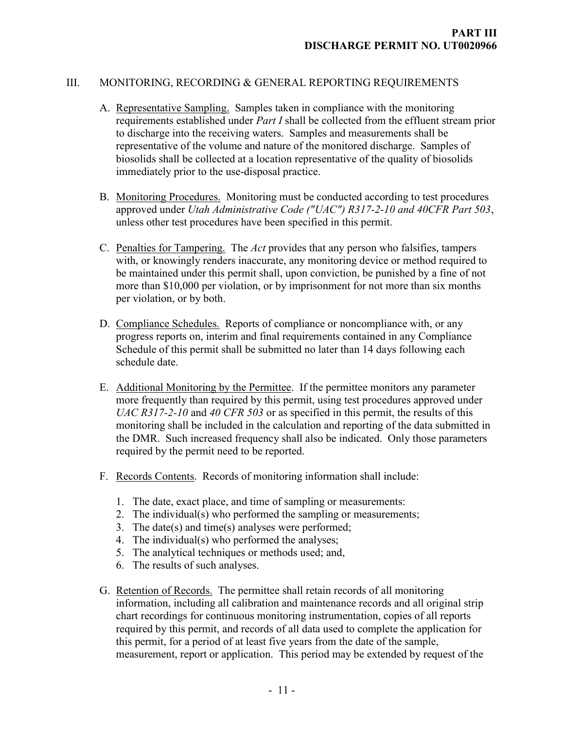#### III. MONITORING, RECORDING & GENERAL REPORTING REQUIREMENTS

- A. Representative Sampling. Samples taken in compliance with the monitoring requirements established under *Part I* shall be collected from the effluent stream prior to discharge into the receiving waters. Samples and measurements shall be representative of the volume and nature of the monitored discharge. Samples of biosolids shall be collected at a location representative of the quality of biosolids immediately prior to the use-disposal practice.
- B. Monitoring Procedures. Monitoring must be conducted according to test procedures approved under Utah Administrative Code ("UAC") R317-2-10 and 40CFR Part 503, unless other test procedures have been specified in this permit.
- C. Penalties for Tampering. The Act provides that any person who falsifies, tampers with, or knowingly renders inaccurate, any monitoring device or method required to be maintained under this permit shall, upon conviction, be punished by a fine of not more than \$10,000 per violation, or by imprisonment for not more than six months per violation, or by both.
- D. Compliance Schedules. Reports of compliance or noncompliance with, or any progress reports on, interim and final requirements contained in any Compliance Schedule of this permit shall be submitted no later than 14 days following each schedule date.
- E. Additional Monitoring by the Permittee. If the permittee monitors any parameter more frequently than required by this permit, using test procedures approved under UAC R317-2-10 and 40 CFR 503 or as specified in this permit, the results of this monitoring shall be included in the calculation and reporting of the data submitted in the DMR. Such increased frequency shall also be indicated. Only those parameters required by the permit need to be reported.
- F. Records Contents. Records of monitoring information shall include:
	- 1. The date, exact place, and time of sampling or measurements:
	- 2. The individual(s) who performed the sampling or measurements;
	- 3. The date(s) and time(s) analyses were performed;
	- 4. The individual(s) who performed the analyses;
	- 5. The analytical techniques or methods used; and,
	- 6. The results of such analyses.
- G. Retention of Records. The permittee shall retain records of all monitoring information, including all calibration and maintenance records and all original strip chart recordings for continuous monitoring instrumentation, copies of all reports required by this permit, and records of all data used to complete the application for this permit, for a period of at least five years from the date of the sample, measurement, report or application. This period may be extended by request of the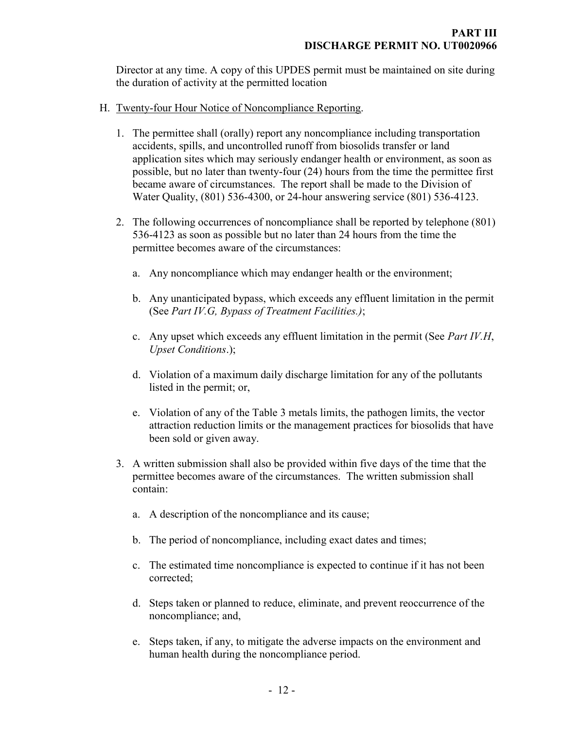Director at any time. A copy of this UPDES permit must be maintained on site during the duration of activity at the permitted location

- H. Twenty-four Hour Notice of Noncompliance Reporting.
	- 1. The permittee shall (orally) report any noncompliance including transportation accidents, spills, and uncontrolled runoff from biosolids transfer or land application sites which may seriously endanger health or environment, as soon as possible, but no later than twenty-four (24) hours from the time the permittee first became aware of circumstances. The report shall be made to the Division of Water Quality, (801) 536-4300, or 24-hour answering service (801) 536-4123.
	- 2. The following occurrences of noncompliance shall be reported by telephone (801) 536-4123 as soon as possible but no later than 24 hours from the time the permittee becomes aware of the circumstances:
		- a. Any noncompliance which may endanger health or the environment;
		- b. Any unanticipated bypass, which exceeds any effluent limitation in the permit (See Part IV.G, Bypass of Treatment Facilities.);
		- c. Any upset which exceeds any effluent limitation in the permit (See Part IV.H, Upset Conditions.);
		- d. Violation of a maximum daily discharge limitation for any of the pollutants listed in the permit; or,
		- e. Violation of any of the Table 3 metals limits, the pathogen limits, the vector attraction reduction limits or the management practices for biosolids that have been sold or given away.
	- 3. A written submission shall also be provided within five days of the time that the permittee becomes aware of the circumstances. The written submission shall contain:
		- a. A description of the noncompliance and its cause;
		- b. The period of noncompliance, including exact dates and times;
		- c. The estimated time noncompliance is expected to continue if it has not been corrected;
		- d. Steps taken or planned to reduce, eliminate, and prevent reoccurrence of the noncompliance; and,
		- e. Steps taken, if any, to mitigate the adverse impacts on the environment and human health during the noncompliance period.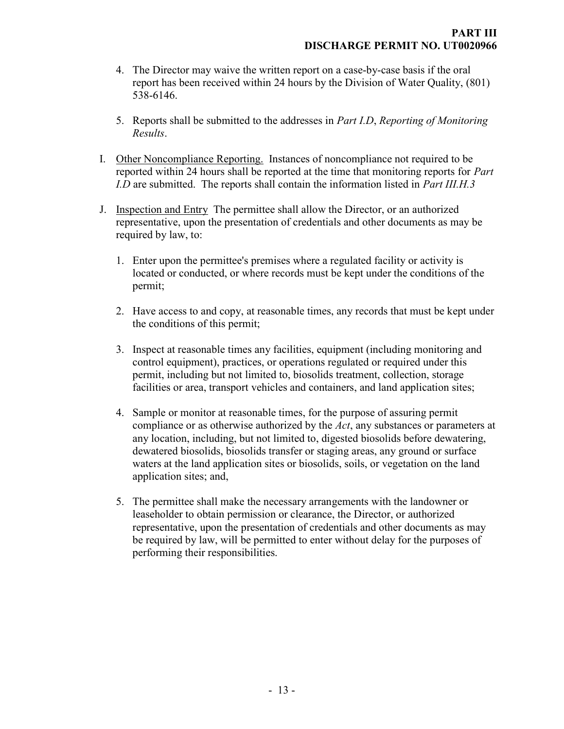- 4. The Director may waive the written report on a case-by-case basis if the oral report has been received within 24 hours by the Division of Water Quality, (801) 538-6146.
- 5. Reports shall be submitted to the addresses in Part I.D, Reporting of Monitoring Results.
- I. Other Noncompliance Reporting. Instances of noncompliance not required to be reported within 24 hours shall be reported at the time that monitoring reports for *Part* I.D are submitted. The reports shall contain the information listed in *Part III.H.3*
- J. Inspection and Entry The permittee shall allow the Director, or an authorized representative, upon the presentation of credentials and other documents as may be required by law, to:
	- 1. Enter upon the permittee's premises where a regulated facility or activity is located or conducted, or where records must be kept under the conditions of the permit;
	- 2. Have access to and copy, at reasonable times, any records that must be kept under the conditions of this permit;
	- 3. Inspect at reasonable times any facilities, equipment (including monitoring and control equipment), practices, or operations regulated or required under this permit, including but not limited to, biosolids treatment, collection, storage facilities or area, transport vehicles and containers, and land application sites;
	- 4. Sample or monitor at reasonable times, for the purpose of assuring permit compliance or as otherwise authorized by the Act, any substances or parameters at any location, including, but not limited to, digested biosolids before dewatering, dewatered biosolids, biosolids transfer or staging areas, any ground or surface waters at the land application sites or biosolids, soils, or vegetation on the land application sites; and,
	- 5. The permittee shall make the necessary arrangements with the landowner or leaseholder to obtain permission or clearance, the Director, or authorized representative, upon the presentation of credentials and other documents as may be required by law, will be permitted to enter without delay for the purposes of performing their responsibilities.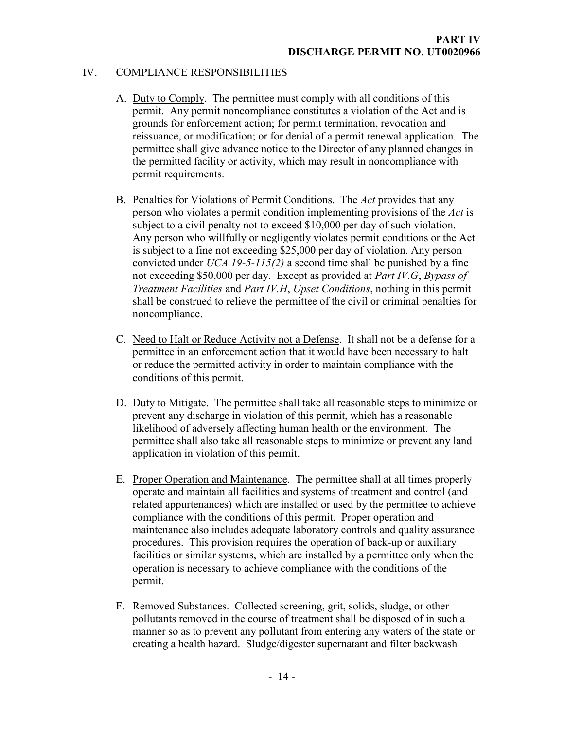#### IV. COMPLIANCE RESPONSIBILITIES

- A. Duty to Comply. The permittee must comply with all conditions of this permit. Any permit noncompliance constitutes a violation of the Act and is grounds for enforcement action; for permit termination, revocation and reissuance, or modification; or for denial of a permit renewal application. The permittee shall give advance notice to the Director of any planned changes in the permitted facility or activity, which may result in noncompliance with permit requirements.
- B. Penalties for Violations of Permit Conditions. The Act provides that any person who violates a permit condition implementing provisions of the Act is subject to a civil penalty not to exceed \$10,000 per day of such violation. Any person who willfully or negligently violates permit conditions or the Act is subject to a fine not exceeding \$25,000 per day of violation. Any person convicted under  $UCA$  19-5-115(2) a second time shall be punished by a fine not exceeding \$50,000 per day. Except as provided at Part IV.G, Bypass of Treatment Facilities and Part IV.H, Upset Conditions, nothing in this permit shall be construed to relieve the permittee of the civil or criminal penalties for noncompliance.
- C. Need to Halt or Reduce Activity not a Defense. It shall not be a defense for a permittee in an enforcement action that it would have been necessary to halt or reduce the permitted activity in order to maintain compliance with the conditions of this permit.
- D. Duty to Mitigate. The permittee shall take all reasonable steps to minimize or prevent any discharge in violation of this permit, which has a reasonable likelihood of adversely affecting human health or the environment. The permittee shall also take all reasonable steps to minimize or prevent any land application in violation of this permit.
- E. Proper Operation and Maintenance. The permittee shall at all times properly operate and maintain all facilities and systems of treatment and control (and related appurtenances) which are installed or used by the permittee to achieve compliance with the conditions of this permit. Proper operation and maintenance also includes adequate laboratory controls and quality assurance procedures. This provision requires the operation of back-up or auxiliary facilities or similar systems, which are installed by a permittee only when the operation is necessary to achieve compliance with the conditions of the permit.
- F. Removed Substances. Collected screening, grit, solids, sludge, or other pollutants removed in the course of treatment shall be disposed of in such a manner so as to prevent any pollutant from entering any waters of the state or creating a health hazard. Sludge/digester supernatant and filter backwash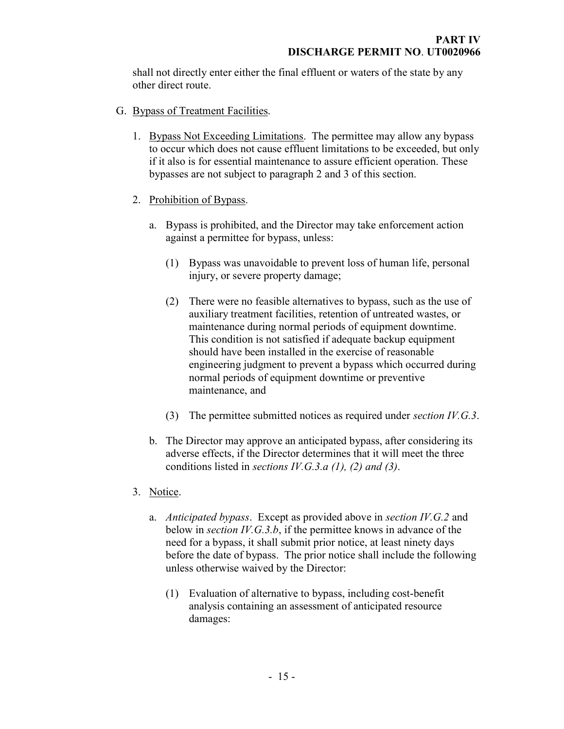shall not directly enter either the final effluent or waters of the state by any other direct route.

- G. Bypass of Treatment Facilities.
	- 1. Bypass Not Exceeding Limitations. The permittee may allow any bypass to occur which does not cause effluent limitations to be exceeded, but only if it also is for essential maintenance to assure efficient operation. These bypasses are not subject to paragraph 2 and 3 of this section.
	- 2. Prohibition of Bypass.
		- a. Bypass is prohibited, and the Director may take enforcement action against a permittee for bypass, unless:
			- (1) Bypass was unavoidable to prevent loss of human life, personal injury, or severe property damage;
			- (2) There were no feasible alternatives to bypass, such as the use of auxiliary treatment facilities, retention of untreated wastes, or maintenance during normal periods of equipment downtime. This condition is not satisfied if adequate backup equipment should have been installed in the exercise of reasonable engineering judgment to prevent a bypass which occurred during normal periods of equipment downtime or preventive maintenance, and
			- (3) The permittee submitted notices as required under section  $IV.G.3$ .
		- b. The Director may approve an anticipated bypass, after considering its adverse effects, if the Director determines that it will meet the three conditions listed in sections IV.G.3.a  $(1)$ ,  $(2)$  and  $(3)$ .
	- 3. Notice.
		- a. Anticipated bypass. Except as provided above in section IV.G.2 and below in *section IV.G.3.b*, if the permittee knows in advance of the need for a bypass, it shall submit prior notice, at least ninety days before the date of bypass. The prior notice shall include the following unless otherwise waived by the Director:
			- (1) Evaluation of alternative to bypass, including cost-benefit analysis containing an assessment of anticipated resource damages: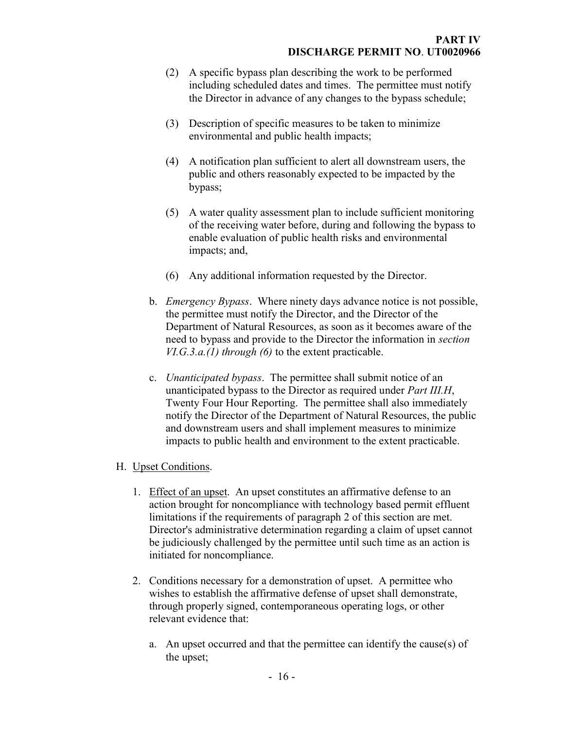- (2) A specific bypass plan describing the work to be performed including scheduled dates and times. The permittee must notify the Director in advance of any changes to the bypass schedule;
- (3) Description of specific measures to be taken to minimize environmental and public health impacts;
- (4) A notification plan sufficient to alert all downstream users, the public and others reasonably expected to be impacted by the bypass;
- (5) A water quality assessment plan to include sufficient monitoring of the receiving water before, during and following the bypass to enable evaluation of public health risks and environmental impacts; and,
- (6) Any additional information requested by the Director.
- b. *Emergency Bypass*. Where ninety days advance notice is not possible, the permittee must notify the Director, and the Director of the Department of Natural Resources, as soon as it becomes aware of the need to bypass and provide to the Director the information in section  $V I. G.3.a.(1)$  through (6) to the extent practicable.
- c. Unanticipated bypass. The permittee shall submit notice of an unanticipated bypass to the Director as required under Part III.H, Twenty Four Hour Reporting. The permittee shall also immediately notify the Director of the Department of Natural Resources, the public and downstream users and shall implement measures to minimize impacts to public health and environment to the extent practicable.

## H. Upset Conditions.

- 1. Effect of an upset. An upset constitutes an affirmative defense to an action brought for noncompliance with technology based permit effluent limitations if the requirements of paragraph 2 of this section are met. Director's administrative determination regarding a claim of upset cannot be judiciously challenged by the permittee until such time as an action is initiated for noncompliance.
- 2. Conditions necessary for a demonstration of upset. A permittee who wishes to establish the affirmative defense of upset shall demonstrate, through properly signed, contemporaneous operating logs, or other relevant evidence that:
	- a. An upset occurred and that the permittee can identify the cause(s) of the upset;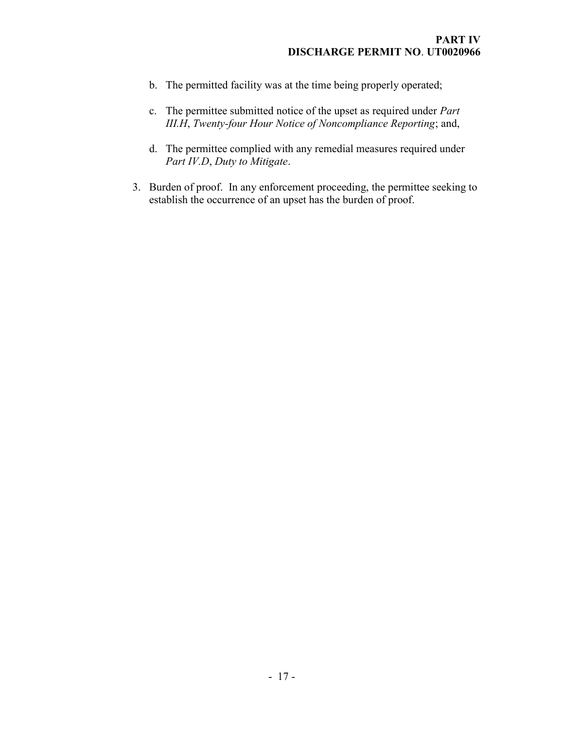- b. The permitted facility was at the time being properly operated;
- c. The permittee submitted notice of the upset as required under Part III.H, Twenty-four Hour Notice of Noncompliance Reporting; and,
- d. The permittee complied with any remedial measures required under Part IV.D, Duty to Mitigate.
- 3. Burden of proof. In any enforcement proceeding, the permittee seeking to establish the occurrence of an upset has the burden of proof.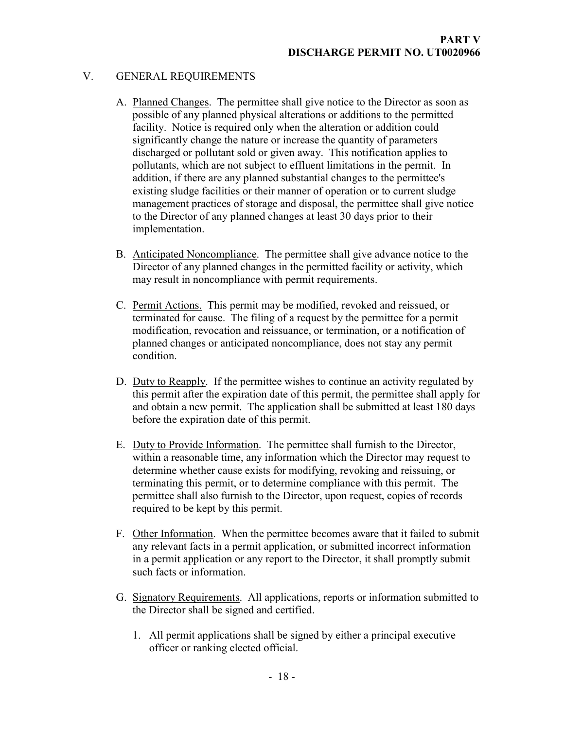## V. GENERAL REQUIREMENTS

- A. Planned Changes. The permittee shall give notice to the Director as soon as possible of any planned physical alterations or additions to the permitted facility. Notice is required only when the alteration or addition could significantly change the nature or increase the quantity of parameters discharged or pollutant sold or given away. This notification applies to pollutants, which are not subject to effluent limitations in the permit. In addition, if there are any planned substantial changes to the permittee's existing sludge facilities or their manner of operation or to current sludge management practices of storage and disposal, the permittee shall give notice to the Director of any planned changes at least 30 days prior to their implementation.
- B. Anticipated Noncompliance. The permittee shall give advance notice to the Director of any planned changes in the permitted facility or activity, which may result in noncompliance with permit requirements.
- C. Permit Actions. This permit may be modified, revoked and reissued, or terminated for cause. The filing of a request by the permittee for a permit modification, revocation and reissuance, or termination, or a notification of planned changes or anticipated noncompliance, does not stay any permit condition.
- D. Duty to Reapply. If the permittee wishes to continue an activity regulated by this permit after the expiration date of this permit, the permittee shall apply for and obtain a new permit. The application shall be submitted at least 180 days before the expiration date of this permit.
- E. Duty to Provide Information. The permittee shall furnish to the Director, within a reasonable time, any information which the Director may request to determine whether cause exists for modifying, revoking and reissuing, or terminating this permit, or to determine compliance with this permit. The permittee shall also furnish to the Director, upon request, copies of records required to be kept by this permit.
- F. Other Information. When the permittee becomes aware that it failed to submit any relevant facts in a permit application, or submitted incorrect information in a permit application or any report to the Director, it shall promptly submit such facts or information.
- G. Signatory Requirements. All applications, reports or information submitted to the Director shall be signed and certified.
	- 1. All permit applications shall be signed by either a principal executive officer or ranking elected official.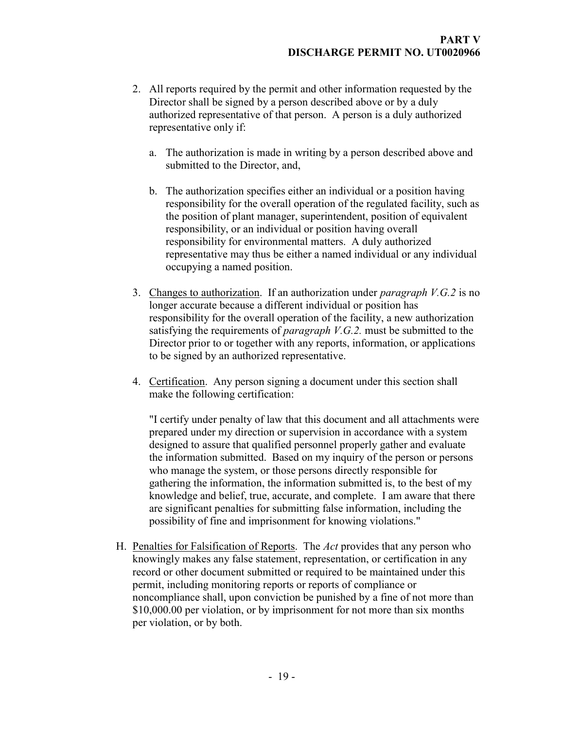- 2. All reports required by the permit and other information requested by the Director shall be signed by a person described above or by a duly authorized representative of that person. A person is a duly authorized representative only if:
	- a. The authorization is made in writing by a person described above and submitted to the Director, and,
	- b. The authorization specifies either an individual or a position having responsibility for the overall operation of the regulated facility, such as the position of plant manager, superintendent, position of equivalent responsibility, or an individual or position having overall responsibility for environmental matters. A duly authorized representative may thus be either a named individual or any individual occupying a named position.
- 3. Changes to authorization. If an authorization under *paragraph*  $V.G.2$  is no longer accurate because a different individual or position has responsibility for the overall operation of the facility, a new authorization satisfying the requirements of *paragraph V.G.2*. must be submitted to the Director prior to or together with any reports, information, or applications to be signed by an authorized representative.
- 4. Certification. Any person signing a document under this section shall make the following certification:

"I certify under penalty of law that this document and all attachments were prepared under my direction or supervision in accordance with a system designed to assure that qualified personnel properly gather and evaluate the information submitted. Based on my inquiry of the person or persons who manage the system, or those persons directly responsible for gathering the information, the information submitted is, to the best of my knowledge and belief, true, accurate, and complete. I am aware that there are significant penalties for submitting false information, including the possibility of fine and imprisonment for knowing violations."

H. Penalties for Falsification of Reports. The Act provides that any person who knowingly makes any false statement, representation, or certification in any record or other document submitted or required to be maintained under this permit, including monitoring reports or reports of compliance or noncompliance shall, upon conviction be punished by a fine of not more than \$10,000.00 per violation, or by imprisonment for not more than six months per violation, or by both.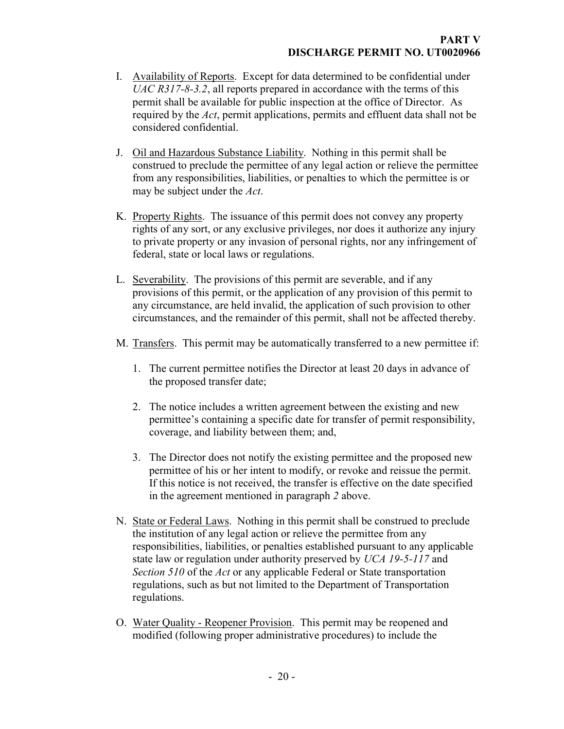- I. Availability of Reports. Except for data determined to be confidential under UAC R317-8-3.2, all reports prepared in accordance with the terms of this permit shall be available for public inspection at the office of Director. As required by the Act, permit applications, permits and effluent data shall not be considered confidential.
- J. Oil and Hazardous Substance Liability. Nothing in this permit shall be construed to preclude the permittee of any legal action or relieve the permittee from any responsibilities, liabilities, or penalties to which the permittee is or may be subject under the *Act*.
- K. Property Rights. The issuance of this permit does not convey any property rights of any sort, or any exclusive privileges, nor does it authorize any injury to private property or any invasion of personal rights, nor any infringement of federal, state or local laws or regulations.
- L. Severability. The provisions of this permit are severable, and if any provisions of this permit, or the application of any provision of this permit to any circumstance, are held invalid, the application of such provision to other circumstances, and the remainder of this permit, shall not be affected thereby.
- M. Transfers. This permit may be automatically transferred to a new permittee if:
	- 1. The current permittee notifies the Director at least 20 days in advance of the proposed transfer date;
	- 2. The notice includes a written agreement between the existing and new permittee's containing a specific date for transfer of permit responsibility, coverage, and liability between them; and,
	- 3. The Director does not notify the existing permittee and the proposed new permittee of his or her intent to modify, or revoke and reissue the permit. If this notice is not received, the transfer is effective on the date specified in the agreement mentioned in paragraph 2 above.
- N. State or Federal Laws. Nothing in this permit shall be construed to preclude the institution of any legal action or relieve the permittee from any responsibilities, liabilities, or penalties established pursuant to any applicable state law or regulation under authority preserved by UCA 19-5-117 and Section 510 of the Act or any applicable Federal or State transportation regulations, such as but not limited to the Department of Transportation regulations.
- O. Water Quality Reopener Provision. This permit may be reopened and modified (following proper administrative procedures) to include the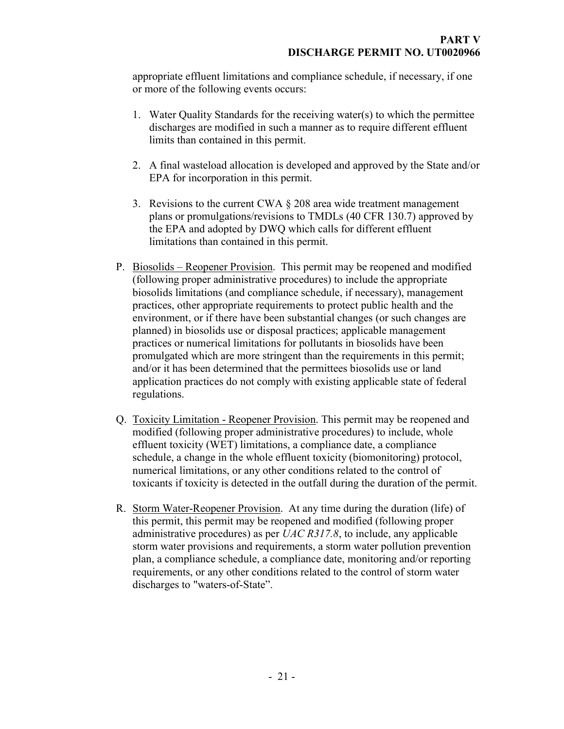appropriate effluent limitations and compliance schedule, if necessary, if one or more of the following events occurs:

- 1. Water Quality Standards for the receiving water(s) to which the permittee discharges are modified in such a manner as to require different effluent limits than contained in this permit.
- 2. A final wasteload allocation is developed and approved by the State and/or EPA for incorporation in this permit.
- 3. Revisions to the current CWA  $\S$  208 area wide treatment management plans or promulgations/revisions to TMDLs (40 CFR 130.7) approved by the EPA and adopted by DWQ which calls for different effluent limitations than contained in this permit.
- P. Biosolids Reopener Provision. This permit may be reopened and modified (following proper administrative procedures) to include the appropriate biosolids limitations (and compliance schedule, if necessary), management practices, other appropriate requirements to protect public health and the environment, or if there have been substantial changes (or such changes are planned) in biosolids use or disposal practices; applicable management practices or numerical limitations for pollutants in biosolids have been promulgated which are more stringent than the requirements in this permit; and/or it has been determined that the permittees biosolids use or land application practices do not comply with existing applicable state of federal regulations.
- Q. Toxicity Limitation Reopener Provision. This permit may be reopened and modified (following proper administrative procedures) to include, whole effluent toxicity (WET) limitations, a compliance date, a compliance schedule, a change in the whole effluent toxicity (biomonitoring) protocol, numerical limitations, or any other conditions related to the control of toxicants if toxicity is detected in the outfall during the duration of the permit.
- R. Storm Water-Reopener Provision. At any time during the duration (life) of this permit, this permit may be reopened and modified (following proper administrative procedures) as per UAC R317.8, to include, any applicable storm water provisions and requirements, a storm water pollution prevention plan, a compliance schedule, a compliance date, monitoring and/or reporting requirements, or any other conditions related to the control of storm water discharges to "waters-of-State".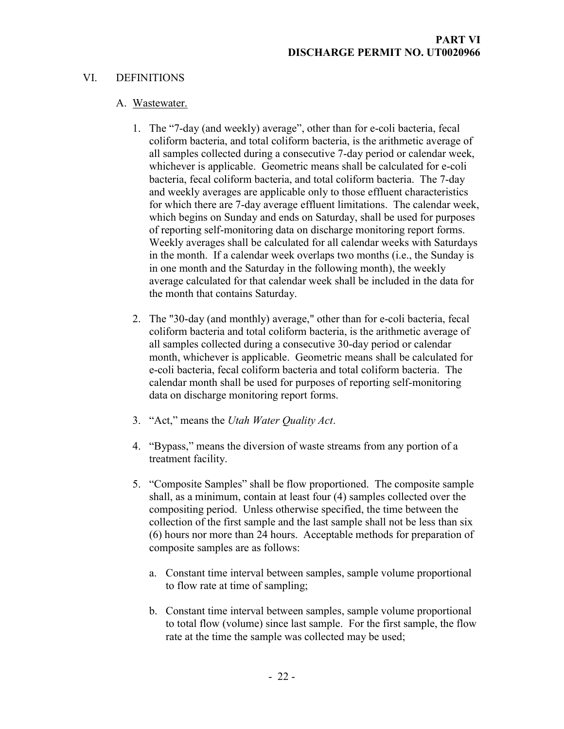## VI. DEFINITIONS

#### A. Wastewater.

- 1. The "7-day (and weekly) average", other than for e-coli bacteria, fecal coliform bacteria, and total coliform bacteria, is the arithmetic average of all samples collected during a consecutive 7-day period or calendar week, whichever is applicable. Geometric means shall be calculated for e-coli bacteria, fecal coliform bacteria, and total coliform bacteria. The 7-day and weekly averages are applicable only to those effluent characteristics for which there are 7-day average effluent limitations. The calendar week, which begins on Sunday and ends on Saturday, shall be used for purposes of reporting self-monitoring data on discharge monitoring report forms. Weekly averages shall be calculated for all calendar weeks with Saturdays in the month. If a calendar week overlaps two months (i.e., the Sunday is in one month and the Saturday in the following month), the weekly average calculated for that calendar week shall be included in the data for the month that contains Saturday.
- 2. The "30-day (and monthly) average," other than for e-coli bacteria, fecal coliform bacteria and total coliform bacteria, is the arithmetic average of all samples collected during a consecutive 30-day period or calendar month, whichever is applicable. Geometric means shall be calculated for e-coli bacteria, fecal coliform bacteria and total coliform bacteria. The calendar month shall be used for purposes of reporting self-monitoring data on discharge monitoring report forms.
- 3. "Act," means the Utah Water Quality Act.
- 4. "Bypass," means the diversion of waste streams from any portion of a treatment facility.
- 5. "Composite Samples" shall be flow proportioned. The composite sample shall, as a minimum, contain at least four (4) samples collected over the compositing period. Unless otherwise specified, the time between the collection of the first sample and the last sample shall not be less than six (6) hours nor more than 24 hours. Acceptable methods for preparation of composite samples are as follows:
	- a. Constant time interval between samples, sample volume proportional to flow rate at time of sampling;
	- b. Constant time interval between samples, sample volume proportional to total flow (volume) since last sample. For the first sample, the flow rate at the time the sample was collected may be used;